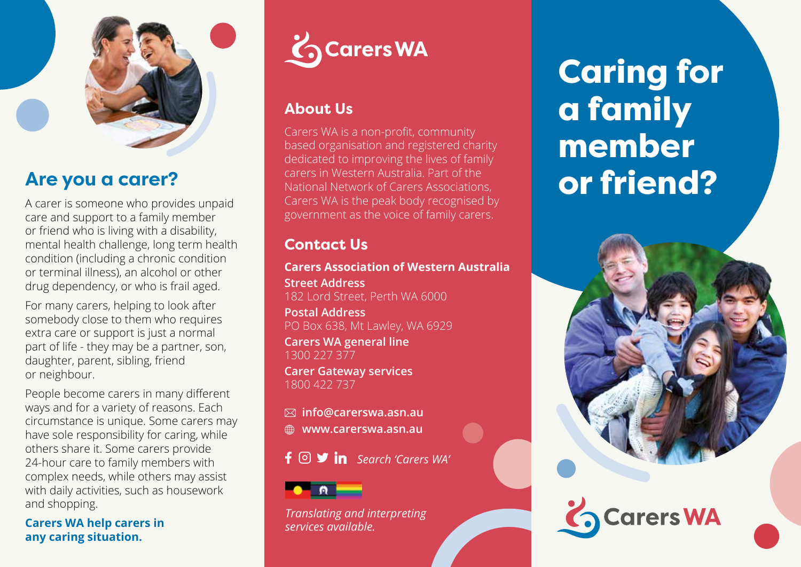

## **Are you a carer?**

A carer is someone who provides unpaid care and support to a family member or friend who is living with a disability, mental health challenge, long term health condition (including a chronic condition or terminal illness), an alcohol or other drug dependency, or who is frail aged.

For many carers, helping to look after somebody close to them who requires extra care or support is just a normal part of life - they may be a partner, son, daughter, parent, sibling, friend or neighbour.

People become carers in many different ways and for a variety of reasons. Each circumstance is unique. Some carers may have sole responsibility for caring, while others share it. Some carers provide 24-hour care to family members with complex needs, while others may assist with daily activities, such as housework and shopping.

**Carers WA help carers in any caring situation.**



### **About Us**

Carers WA is a non-profit, community based organisation and registered charity dedicated to improving the lives of family carers in Western Australia. Part of the National Network of Carers Associations, Carers WA is the peak body recognised by government as the voice of family carers.

### **Contact Us**

#### **Carers Association of Western Australia**

**Street Address**  182 Lord Street, Perth WA 6000

**Postal Address** PO Box 638, Mt Lawley, WA 6929

**Carers WA general line**  1300 227 377

**Carer Gateway services** 1800 422 737

**info@carerswa.asn.au www.carerswa.asn.au**

*Search 'Carers WA'*



*Translating and interpreting services available.*

Caring for a family member or friend?



**Carers WA**